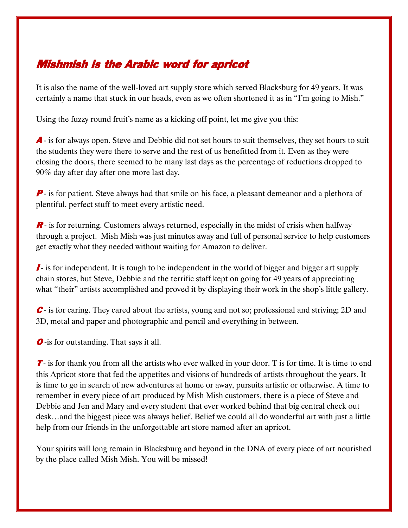## Mishmish is the Arabic word for apricot

It is also the name of the well-loved art supply store which served Blacksburg for 49 years. It was certainly a name that stuck in our heads, even as we often shortened it as in "I'm going to Mish."

Using the fuzzy round fruit's name as a kicking off point, let me give you this:

A - is for always open. Steve and Debbie did not set hours to suit themselves, they set hours to suit the students they were there to serve and the rest of us benefitted from it. Even as they were closing the doors, there seemed to be many last days as the percentage of reductions dropped to 90% day after day after one more last day.

**P**- is for patient. Steve always had that smile on his face, a pleasant demeanor and a plethora of plentiful, perfect stuff to meet every artistic need.

R - is for returning. Customers always returned, especially in the midst of crisis when halfway through a project. Mish Mish was just minutes away and full of personal service to help customers get exactly what they needed without waiting for Amazon to deliver.

I - is for independent. It is tough to be independent in the world of bigger and bigger art supply chain stores, but Steve, Debbie and the terrific staff kept on going for 49 years of appreciating what "their" artists accomplished and proved it by displaying their work in the shop's little gallery.

 $\mathcal C$  is for caring. They cared about the artists, young and not so; professional and striving; 2D and 3D, metal and paper and photographic and pencil and everything in between.

*O*-is for outstanding. That says it all.

 $\mathcal T$ - is for thank you from all the artists who ever walked in your door. T is for time. It is time to end this Apricot store that fed the appetites and visions of hundreds of artists throughout the years. It is time to go in search of new adventures at home or away, pursuits artistic or otherwise. A time to remember in every piece of art produced by Mish Mish customers, there is a piece of Steve and Debbie and Jen and Mary and every student that ever worked behind that big central check out desk…and the biggest piece was always belief. Belief we could all do wonderful art with just a little help from our friends in the unforgettable art store named after an apricot.

Your spirits will long remain in Blacksburg and beyond in the DNA of every piece of art nourished by the place called Mish Mish. You will be missed!